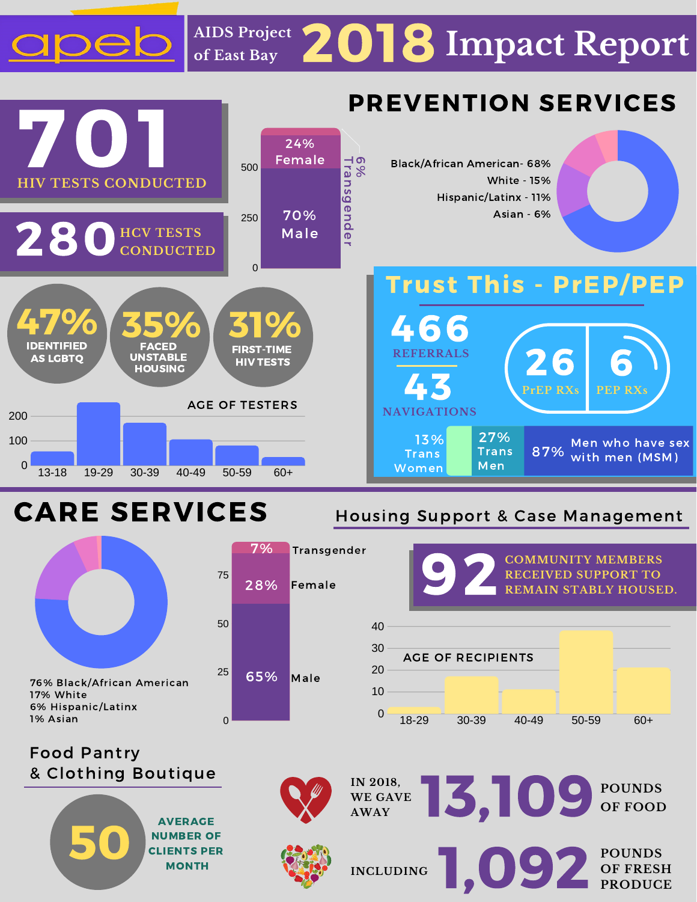## 2018 **Impact Report AIDS Project of East Bay**



## **CARE SERVICES** 100

Housing Support & Case Management